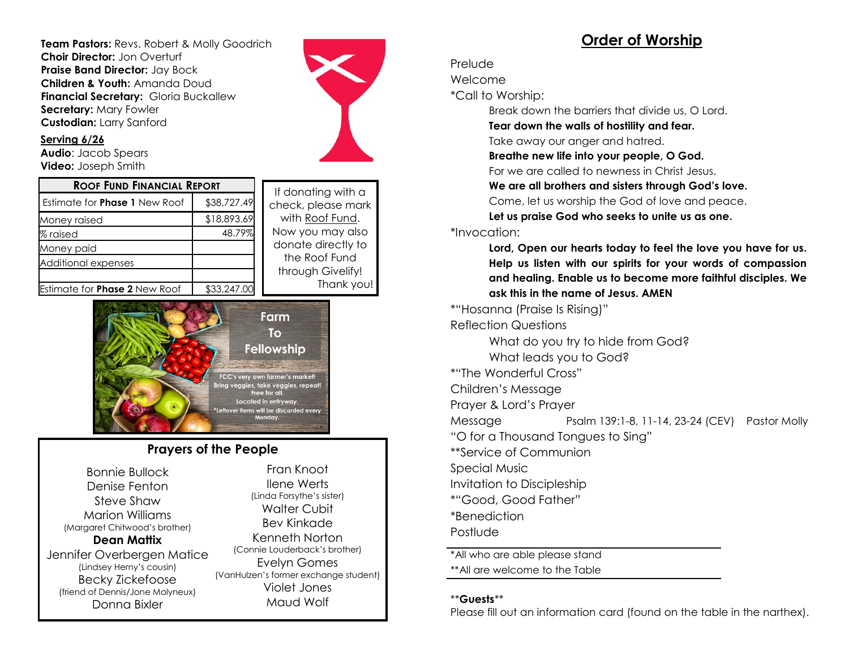**Team Pastors:** Revs. Robert & Molly Goodrich **Choir Director:** Jon Overturf **Praise Band Director:** Jay Bock **Children & Youth:** Amanda Doud **Financial Secretary:** Gloria Buckallew **Secretary:** Mary Fowler **Custodian:** Larry Sanford



#### **Serving 6/26**

**Audio**: Jacob Spears **Video:** Joseph Smith

| <b>ROOF FUND FINANCIAL REPORT</b>    |             | If donating with a                 |
|--------------------------------------|-------------|------------------------------------|
| <b>Estimate for Phase 1 New Roof</b> | \$38,727.49 | check, please mark                 |
| Money raised                         | \$18,893.69 | with Roof Fund.                    |
| $\%$ raised                          | 48.79%      | Now you may also                   |
| Money paid                           |             | donate directly to                 |
| Additional expenses                  |             | the Roof Fund<br>through Givelify! |
| Estimate for <b>Phase 2</b> New Roof | \$33,247.00 | Thank you                          |

se mark Fund. ay also ectly to Fund velify! ank you!



### **Prayers of the People**

Bonnie Bullock Denise Fenton Steve Shaw Marion Williams (Margaret Chitwood's brother) **Dean Mattix** Jennifer Overbergen Matice (Lindsey Herny's cousin) Becky Zickefoose (friend of Dennis/Jone Molyneux) Donna Bixler

Fran Knoot Ilene Werts (Linda Forsythe's sister) Walter Cubit Bev Kinkade Kenneth Norton (Connie Louderback's brother) Evelyn Gomes (VanHulzen's former exchange student) Violet Jones Maud Wolf

## **Order of Worship**

#### Prelude

Welcome

\*Call to Worship:

Break down the barriers that divide us, O Lord.

**Tear down the walls of hostility and fear.**

Take away our anger and hatred.

**Breathe new life into your people, O God.**

For we are called to newness in Christ Jesus.

**We are all brothers and sisters through God's love.**

Come, let us worship the God of love and peace.

**Let us praise God who seeks to unite us as one.**

#### \*Invocation:

**Lord, Open our hearts today to feel the love you have for us. Help us listen with our spirits for your words of compassion and healing. Enable us to become more faithful disciples. We ask this in the name of Jesus. AMEN**

\*"Hosanna (Praise Is Rising)" Reflection Questions What do you try to hide from God? What leads you to God? \*"The Wonderful Cross" Children's Message Prayer & Lord's Prayer Message Psalm 139:1-8, 11-14, 23-24 (CEV) Pastor Molly "O for a Thousand Tongues to Sing" \*\*Service of Communion Special Music Invitation to Discipleship \*"Good, Good Father" \*Benediction

Postlude

\*All who are able please stand \*\*All are welcome to the Table

### \*\***Guests**\*\*

Please fill out an information card (found on the table in the narthex).